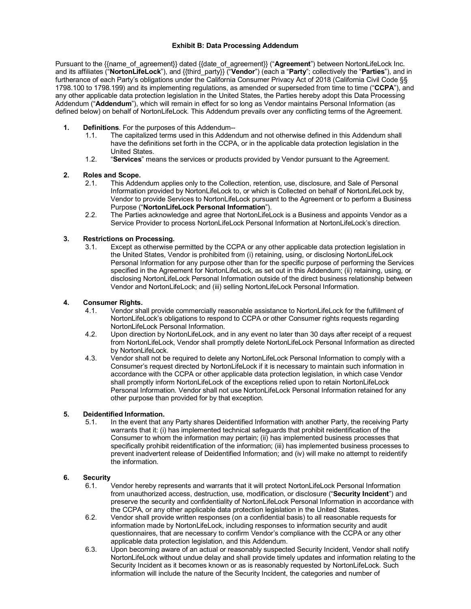### **Exhibit B: Data Processing Addendum**

Pursuant to the {{name\_of\_agreement}} dated {{date\_of\_agreement}} ("**Agreement**") between NortonLifeLock Inc. and its affiliates ("**NortonLifeLock**"), and {{third\_party}} ("**Vendor**") (each a "**Party**"; collectively the "**Parties**"), and in furtherance of each Party's obligations under the California Consumer Privacy Act of 2018 (California Civil Code §§ 1798.100 to 1798.199) and its implementing regulations, as amended or superseded from time to time ("**CCPA**"), and any other applicable data protection legislation in the United States, the Parties hereby adopt this Data Processing Addendum ("**Addendum**"), which will remain in effect for so long as Vendor maintains Personal Information (as defined below) on behalf of NortonLifeLock. This Addendum prevails over any conflicting terms of the Agreement.

- **1. Definitions**. For the purposes of this Addendum--
	- 1.1. The capitalized terms used in this Addendum and not otherwise defined in this Addendum shall have the definitions set forth in the CCPA, or in the applicable data protection legislation in the United States.
	- 1.2. "**Services**" means the services or products provided by Vendor pursuant to the Agreement.

# **2. Roles and Scope.**

- 2.1. This Addendum applies only to the Collection, retention, use, disclosure, and Sale of Personal Information provided by NortonLifeLock to, or which is Collected on behalf of NortonLifeLock by, Vendor to provide Services to NortonLifeLock pursuant to the Agreement or to perform a Business Purpose ("**NortonLifeLock Personal Information**").
- 2.2. The Parties acknowledge and agree that NortonLifeLock is a Business and appoints Vendor as a Service Provider to process NortonLifeLock Personal Information at NortonLifeLock's direction.

### **3. Restrictions on Processing.**

3.1. Except as otherwise permitted by the CCPA or any other applicable data protection legislation in the United States, Vendor is prohibited from (i) retaining, using, or disclosing NortonLifeLock Personal Information for any purpose other than for the specific purpose of performing the Services specified in the Agreement for NortonLifeLock, as set out in this Addendum; (ii) retaining, using, or disclosing NortonLifeLock Personal Information outside of the direct business relationship between Vendor and NortonLifeLock; and (iii) selling NortonLifeLock Personal Information.

#### **4. Consumer Rights.**

- 4.1. Vendor shall provide commercially reasonable assistance to NortonLifeLock for the fulfillment of NortonLifeLock's obligations to respond to CCPA or other Consumer rights requests regarding NortonLifeLock Personal Information.
- 4.2. Upon direction by NortonLifeLock, and in any event no later than 30 days after receipt of a request from NortonLifeLock, Vendor shall promptly delete NortonLifeLock Personal Information as directed by NortonLifeLock.
- 4.3. Vendor shall not be required to delete any NortonLifeLock Personal Information to comply with a Consumer's request directed by NortonLifeLock if it is necessary to maintain such information in accordance with the CCPA or other applicable data protection legislation, in which case Vendor shall promptly inform NortonLifeLock of the exceptions relied upon to retain NortonLifeLock Personal Information. Vendor shall not use NortonLifeLock Personal Information retained for any other purpose than provided for by that exception.

## **5. Deidentified Information.**<br>5.1. In the event that a

In the event that any Party shares Deidentified Information with another Party, the receiving Party warrants that it: (i) has implemented technical safeguards that prohibit reidentification of the Consumer to whom the information may pertain; (ii) has implemented business processes that specifically prohibit reidentification of the information; (iii) has implemented business processes to prevent inadvertent release of Deidentified Information; and (iv) will make no attempt to reidentify the information.

## **6. Security**

- Vendor hereby represents and warrants that it will protect NortonLifeLock Personal Information from unauthorized access, destruction, use, modification, or disclosure ("**Security Incident**") and preserve the security and confidentiality of NortonLifeLock Personal Information in accordance with the CCPA, or any other applicable data protection legislation in the United States.
- 6.2. Vendor shall provide written responses (on a confidential basis) to all reasonable requests for information made by NortonLifeLock, including responses to information security and audit questionnaires, that are necessary to confirm Vendor's compliance with the CCPA or any other applicable data protection legislation, and this Addendum.
- 6.3. Upon becoming aware of an actual or reasonably suspected Security Incident, Vendor shall notify NortonLifeLock without undue delay and shall provide timely updates and information relating to the Security Incident as it becomes known or as is reasonably requested by NortonLifeLock. Such information will include the nature of the Security Incident, the categories and number of